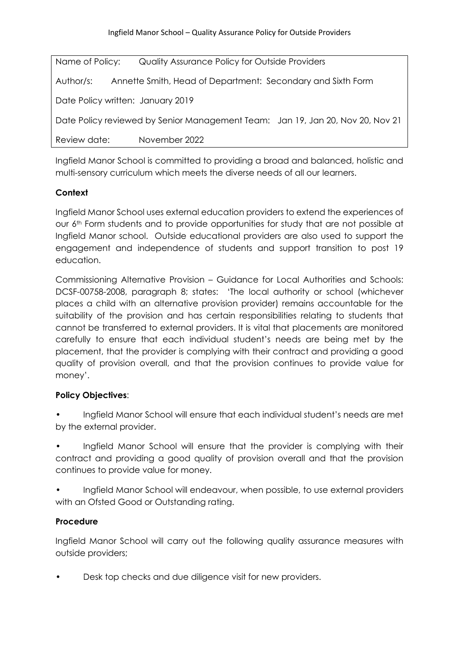| Name of Policy:                   | Quality Assurance Policy for Outside Providers                                 |
|-----------------------------------|--------------------------------------------------------------------------------|
| Author/s:                         | Annette Smith, Head of Department: Secondary and Sixth Form                    |
| Date Policy written: January 2019 |                                                                                |
|                                   | Date Policy reviewed by Senior Management Team: Jan 19, Jan 20, Nov 20, Nov 21 |
| Review date:                      | November 2022                                                                  |

Ingfield Manor School is committed to providing a broad and balanced, holistic and multi-sensory curriculum which meets the diverse needs of all our learners.

## **Context**

Ingfield Manor School uses external education providers to extend the experiences of our 6th Form students and to provide opportunities for study that are not possible at Ingfield Manor school. Outside educational providers are also used to support the engagement and independence of students and support transition to post 19 education.

Commissioning Alternative Provision – Guidance for Local Authorities and Schools: DCSF-00758-2008, paragraph 8; states: 'The local authority or school (whichever places a child with an alternative provision provider) remains accountable for the suitability of the provision and has certain responsibilities relating to students that cannot be transferred to external providers. It is vital that placements are monitored carefully to ensure that each individual student's needs are being met by the placement, that the provider is complying with their contract and providing a good quality of provision overall, and that the provision continues to provide value for money'.

## **Policy Objectives**:

- Ingfield Manor School will ensure that each individual student's needs are met by the external provider.
- Ingfield Manor School will ensure that the provider is complying with their contract and providing a good quality of provision overall and that the provision continues to provide value for money.
- Ingfield Manor School will endeavour, when possible, to use external providers with an Ofsted Good or Outstanding rating.

## **Procedure**

Ingfield Manor School will carry out the following quality assurance measures with outside providers;

• Desk top checks and due diligence visit for new providers.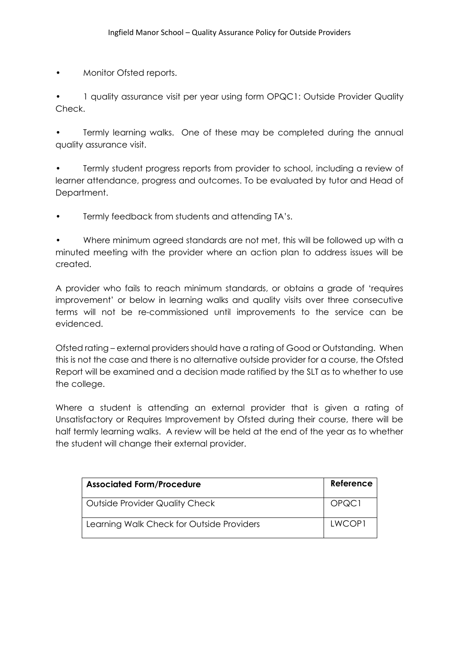• Monitor Ofsted reports.

• 1 quality assurance visit per year using form OPQC1: Outside Provider Quality Check.

Termly learning walks. One of these may be completed during the annual quality assurance visit.

• Termly student progress reports from provider to school, including a review of learner attendance, progress and outcomes. To be evaluated by tutor and Head of Department.

• Termly feedback from students and attending TA's.

• Where minimum agreed standards are not met, this will be followed up with a minuted meeting with the provider where an action plan to address issues will be created.

A provider who fails to reach minimum standards, or obtains a grade of 'requires improvement' or below in learning walks and quality visits over three consecutive terms will not be re-commissioned until improvements to the service can be evidenced.

Ofsted rating – external providers should have a rating of Good or Outstanding. When this is not the case and there is no alternative outside provider for a course, the Ofsted Report will be examined and a decision made ratified by the SLT as to whether to use the college.

Where a student is attending an external provider that is given a rating of Unsatisfactory or Requires Improvement by Ofsted during their course, there will be half termly learning walks. A review will be held at the end of the year as to whether the student will change their external provider.

| <b>Associated Form/Procedure</b>          | Reference |
|-------------------------------------------|-----------|
| Outside Provider Quality Check            | OPQC1     |
| Learning Walk Check for Outside Providers | LWCOP1    |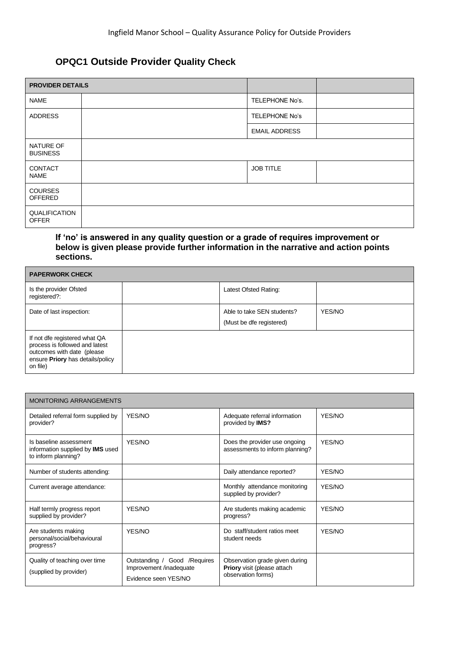## **OPQC1 Outside Provider Quality Check**

| <b>PROVIDER DETAILS</b>              |                       |  |
|--------------------------------------|-----------------------|--|
| <b>NAME</b>                          | TELEPHONE No's.       |  |
| <b>ADDRESS</b>                       | <b>TELEPHONE No's</b> |  |
|                                      | <b>EMAIL ADDRESS</b>  |  |
| NATURE OF<br><b>BUSINESS</b>         |                       |  |
| <b>CONTACT</b><br><b>NAME</b>        | <b>JOB TITLE</b>      |  |
| <b>COURSES</b><br>OFFERED            |                       |  |
| <b>QUALIFICATION</b><br><b>OFFER</b> |                       |  |

#### **If 'no' is answered in any quality question or a grade of requires improvement or below is given please provide further information in the narrative and action points sections.**

| <b>PAPERWORK CHECK</b>                                                                                                                         |  |                                                        |        |  |
|------------------------------------------------------------------------------------------------------------------------------------------------|--|--------------------------------------------------------|--------|--|
| Is the provider Ofsted<br>registered?:                                                                                                         |  | Latest Ofsted Rating:                                  |        |  |
| Date of last inspection:                                                                                                                       |  | Able to take SEN students?<br>(Must be dfe registered) | YES/NO |  |
| If not dfe registered what QA<br>process is followed and latest<br>outcomes with date (please)<br>ensure Priory has details/policy<br>on file) |  |                                                        |        |  |

| <b>MONITORING ARRANGEMENTS</b>                                                           |                                                                                  |                                                                                            |        |  |
|------------------------------------------------------------------------------------------|----------------------------------------------------------------------------------|--------------------------------------------------------------------------------------------|--------|--|
| Detailed referral form supplied by<br>provider?                                          | YES/NO                                                                           | Adequate referral information<br>provided by IMS?                                          | YES/NO |  |
| Is baseline assessment<br>information supplied by <b>IMS</b> used<br>to inform planning? | YES/NO                                                                           | Does the provider use ongoing<br>assessments to inform planning?                           | YES/NO |  |
| Number of students attending:                                                            |                                                                                  | Daily attendance reported?                                                                 | YES/NO |  |
| Current average attendance:                                                              |                                                                                  | Monthly attendance monitoring<br>supplied by provider?                                     | YFS/NO |  |
| Half termly progress report<br>supplied by provider?                                     | YES/NO                                                                           | Are students making academic<br>progress?                                                  | YES/NO |  |
| Are students making<br>personal/social/behavioural<br>progress?                          | YES/NO                                                                           | Do staff/student ratios meet<br>student needs                                              | YFS/NO |  |
| Quality of teaching over time<br>(supplied by provider)                                  | Outstanding / Good / Requires<br>Improvement /inadequate<br>Evidence seen YES/NO | Observation grade given during<br><b>Priory</b> visit (please attach<br>observation forms) |        |  |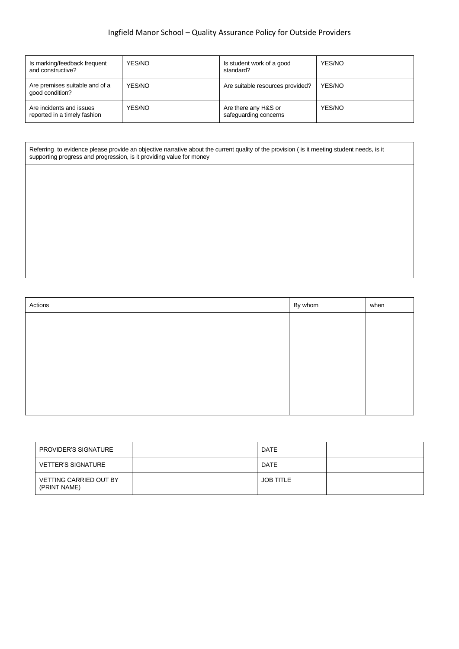## Ingfield Manor School – Quality Assurance Policy for Outside Providers

| Is marking/feedback frequent<br>and constructive?        | YES/NO | Is student work of a good<br>standard?        | YES/NO |
|----------------------------------------------------------|--------|-----------------------------------------------|--------|
| Are premises suitable and of a<br>good condition?        | YES/NO | Are suitable resources provided?              | YES/NO |
| Are incidents and issues<br>reported in a timely fashion | YES/NO | Are there any H&S or<br>safeguarding concerns | YES/NO |

Referring to evidence please provide an objective narrative about the current quality of the provision ( is it meeting student needs, is it supporting progress and progression, is it providing value for money

| Actions | By whom | when |
|---------|---------|------|
|         |         |      |
|         |         |      |
|         |         |      |
|         |         |      |
|         |         |      |
|         |         |      |
|         |         |      |

| PROVIDER'S SIGNATURE                          | DATE             |  |
|-----------------------------------------------|------------------|--|
| <b>VETTER'S SIGNATURE</b>                     | DATE             |  |
| <b>VETTING CARRIED OUT BY</b><br>(PRINT NAME) | <b>JOB TITLE</b> |  |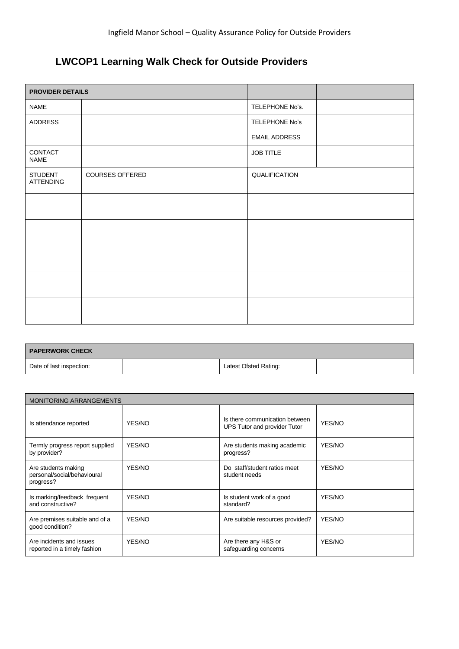# **LWCOP1 Learning Walk Check for Outside Providers**

| <b>PROVIDER DETAILS</b>     |                 |                      |  |
|-----------------------------|-----------------|----------------------|--|
| <b>NAME</b>                 |                 | TELEPHONE No's.      |  |
| ADDRESS                     |                 | TELEPHONE No's       |  |
|                             |                 | <b>EMAIL ADDRESS</b> |  |
| CONTACT<br><b>NAME</b>      |                 | JOB TITLE            |  |
| <b>STUDENT</b><br>ATTENDING | COURSES OFFERED | QUALIFICATION        |  |
|                             |                 |                      |  |
|                             |                 |                      |  |
|                             |                 |                      |  |
|                             |                 |                      |  |
|                             |                 |                      |  |

| <b>FAPERWORK CHECK</b>   |                       |  |
|--------------------------|-----------------------|--|
| Date of last inspection: | Latest Ofsted Rating: |  |

| <b>MONITORING ARRANGEMENTS</b>                                  |        |                                                                |        |  |
|-----------------------------------------------------------------|--------|----------------------------------------------------------------|--------|--|
| Is attendance reported                                          | YES/NO | Is there communication between<br>UPS Tutor and provider Tutor | YES/NO |  |
| Termly progress report supplied<br>by provider?                 | YES/NO | Are students making academic<br>progress?                      | YES/NO |  |
| Are students making<br>personal/social/behavioural<br>progress? | YES/NO | Do staff/student ratios meet<br>student needs                  | YES/NO |  |
| Is marking/feedback frequent<br>and constructive?               | YES/NO | Is student work of a good<br>standard?                         | YES/NO |  |
| Are premises suitable and of a<br>good condition?               | YES/NO | Are suitable resources provided?                               | YES/NO |  |
| Are incidents and issues<br>reported in a timely fashion        | YES/NO | Are there any H&S or<br>safeguarding concerns                  | YES/NO |  |